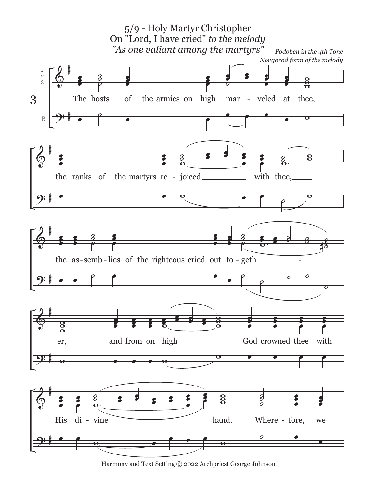

Harmony and Text Setting © 2022 Archpriest George Johnson